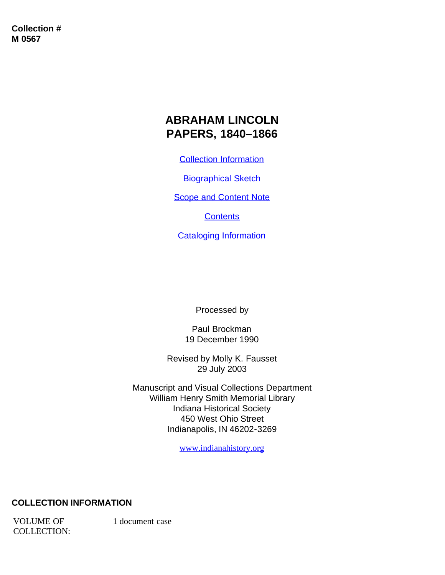**Collection # M 0567**

# **ABRAHAM LINCOLN PAPERS, 1840–1866**

[Collection Information](#page-0-0)

**[Biographical Sketch](#page-1-0)** 

**[Scope and Content Note](#page-2-0)** 

**[Contents](#page-3-0)** 

[Cataloging Information](#page-4-0)

Processed by

Paul Brockman 19 December 1990

Revised by Molly K. Fausset 29 July 2003

Manuscript and Visual Collections Department William Henry Smith Memorial Library Indiana Historical Society 450 West Ohio Street Indianapolis, IN 46202-3269

[www.indianahistory.org](http://www.indianahistory.org/)

#### <span id="page-0-0"></span>**COLLECTION INFORMATION**

VOLUME OF COLLECTION: 1 document case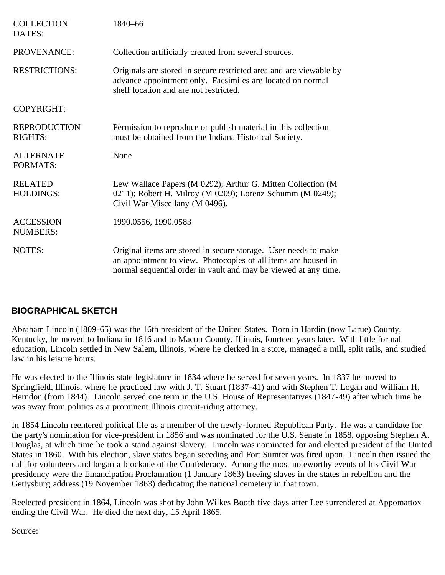| <b>COLLECTION</b><br>DATES:           | 1840-66                                                                                                                                                                                              |
|---------------------------------------|------------------------------------------------------------------------------------------------------------------------------------------------------------------------------------------------------|
| PROVENANCE:                           | Collection artificially created from several sources.                                                                                                                                                |
| <b>RESTRICTIONS:</b>                  | Originals are stored in secure restricted area and are viewable by<br>advance appointment only. Facsimiles are located on normal<br>shelf location and are not restricted.                           |
| <b>COPYRIGHT:</b>                     |                                                                                                                                                                                                      |
| <b>REPRODUCTION</b><br><b>RIGHTS:</b> | Permission to reproduce or publish material in this collection<br>must be obtained from the Indiana Historical Society.                                                                              |
| <b>ALTERNATE</b><br><b>FORMATS:</b>   | None                                                                                                                                                                                                 |
| <b>RELATED</b><br><b>HOLDINGS:</b>    | Lew Wallace Papers (M 0292); Arthur G. Mitten Collection (M<br>0211); Robert H. Milroy (M 0209); Lorenz Schumm (M 0249);<br>Civil War Miscellany (M 0496).                                           |
| <b>ACCESSION</b><br><b>NUMBERS:</b>   | 1990.0556, 1990.0583                                                                                                                                                                                 |
| NOTES:                                | Original items are stored in secure storage. User needs to make<br>an appointment to view. Photocopies of all items are housed in<br>normal sequential order in vault and may be viewed at any time. |

### <span id="page-1-0"></span>**BIOGRAPHICAL SKETCH**

Abraham Lincoln (1809-65) was the 16th president of the United States. Born in Hardin (now Larue) County, Kentucky, he moved to Indiana in 1816 and to Macon County, Illinois, fourteen years later. With little formal education, Lincoln settled in New Salem, Illinois, where he clerked in a store, managed a mill, split rails, and studied law in his leisure hours.

He was elected to the Illinois state legislature in 1834 where he served for seven years. In 1837 he moved to Springfield, Illinois, where he practiced law with J. T. Stuart (1837-41) and with Stephen T. Logan and William H. Herndon (from 1844). Lincoln served one term in the U.S. House of Representatives (1847-49) after which time he was away from politics as a prominent Illinois circuit-riding attorney.

In 1854 Lincoln reentered political life as a member of the newly-formed Republican Party. He was a candidate for the party's nomination for vice-president in 1856 and was nominated for the U.S. Senate in 1858, opposing Stephen A. Douglas, at which time he took a stand against slavery. Lincoln was nominated for and elected president of the United States in 1860. With his election, slave states began seceding and Fort Sumter was fired upon. Lincoln then issued the call for volunteers and began a blockade of the Confederacy. Among the most noteworthy events of his Civil War presidency were the Emancipation Proclamation (1 January 1863) freeing slaves in the states in rebellion and the Gettysburg address (19 November 1863) dedicating the national cemetery in that town.

Reelected president in 1864, Lincoln was shot by John Wilkes Booth five days after Lee surrendered at Appomattox ending the Civil War. He died the next day, 15 April 1865.

Source: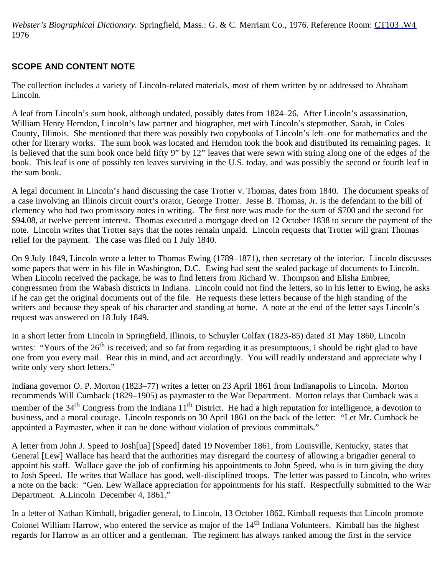*Webster's Biographical Dictionary.* Springfield, Mass.: G. & C. Merriam Co., 1976. Reference Room: [CT103 .W4](http://157.91.92.2/cgi-bin/Pwebrecon.cgi?SC=CallNumber&SEQ=20030724095935&PID=21294&SA=CT103+.W4+1976) [1976](http://157.91.92.2/cgi-bin/Pwebrecon.cgi?SC=CallNumber&SEQ=20030724095935&PID=21294&SA=CT103+.W4+1976)

# <span id="page-2-0"></span>**SCOPE AND CONTENT NOTE**

The collection includes a variety of Lincoln-related materials, most of them written by or addressed to Abraham Lincoln.

A leaf from Lincoln's sum book, although undated, possibly dates from 1824–26. After Lincoln's assassination, William Henry Herndon, Lincoln's law partner and biographer, met with Lincoln's stepmother, Sarah, in Coles County, Illinois. She mentioned that there was possibly two copybooks of Lincoln's left–one for mathematics and the other for literary works. The sum book was located and Herndon took the book and distributed its remaining pages. It is believed that the sum book once held fifty 9" by 12" leaves that were sewn with string along one of the edges of the book. This leaf is one of possibly ten leaves surviving in the U.S. today, and was possibly the second or fourth leaf in the sum book.

A legal document in Lincoln's hand discussing the case Trotter v. Thomas, dates from 1840. The document speaks of a case involving an Illinois circuit court's orator, George Trotter. Jesse B. Thomas, Jr. is the defendant to the bill of clemency who had two promissory notes in writing. The first note was made for the sum of \$700 and the second for \$94.08, at twelve percent interest. Thomas executed a mortgage deed on 12 October 1838 to secure the payment of the note. Lincoln writes that Trotter says that the notes remain unpaid. Lincoln requests that Trotter will grant Thomas relief for the payment. The case was filed on 1 July 1840.

On 9 July 1849, Lincoln wrote a letter to Thomas Ewing (1789–1871), then secretary of the interior. Lincoln discusses some papers that were in his file in Washington, D.C. Ewing had sent the sealed package of documents to Lincoln. When Lincoln received the package, he was to find letters from Richard W. Thompson and Elisha Embree, congressmen from the Wabash districts in Indiana. Lincoln could not find the letters, so in his letter to Ewing, he asks if he can get the original documents out of the file. He requests these letters because of the high standing of the writers and because they speak of his character and standing at home. A note at the end of the letter says Lincoln's request was answered on 18 July 1849.

In a short letter from Lincoln in Springfield, Illinois, to Schuyler Colfax (1823-85) dated 31 May 1860, Lincoln writes: "Yours of the 26<sup>th</sup> is received; and so far from regarding it as presumptuous, I should be right glad to have one from you every mail. Bear this in mind, and act accordingly. You will readily understand and appreciate why I write only very short letters."

Indiana governor O. P. Morton (1823–77) writes a letter on 23 April 1861 from Indianapolis to Lincoln. Morton recommends Will Cumback (1829–1905) as paymaster to the War Department. Morton relays that Cumback was a member of the 34<sup>th</sup> Congress from the Indiana 11<sup>th</sup> District. He had a high reputation for intelligence, a devotion to business, and a moral courage. Lincoln responds on 30 April 1861 on the back of the letter: "Let Mr. Cumback be appointed a Paymaster, when it can be done without violation of previous committals."

A letter from John J. Speed to Josh[ua] [Speed] dated 19 November 1861, from Louisville, Kentucky, states that General [Lew] Wallace has heard that the authorities may disregard the courtesy of allowing a brigadier general to appoint his staff. Wallace gave the job of confirming his appointments to John Speed, who is in turn giving the duty to Josh Speed. He writes that Wallace has good, well-disciplined troops. The letter was passed to Lincoln, who writes a note on the back: "Gen. Lew Wallace appreciation for appointments for his staff. Respectfully submitted to the War Department. A.Lincoln December 4, 1861."

In a letter of Nathan Kimball, brigadier general, to Lincoln, 13 October 1862, Kimball requests that Lincoln promote Colonel William Harrow, who entered the service as major of the 14<sup>th</sup> Indiana Volunteers. Kimball has the highest regards for Harrow as an officer and a gentleman. The regiment has always ranked among the first in the service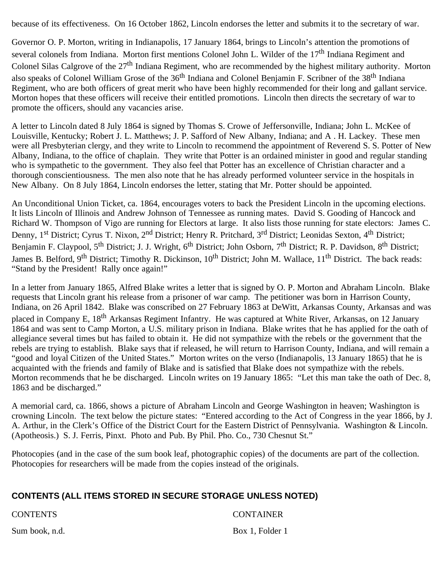because of its effectiveness. On 16 October 1862, Lincoln endorses the letter and submits it to the secretary of war.

Governor O. P. Morton, writing in Indianapolis, 17 January 1864, brings to Lincoln's attention the promotions of several colonels from Indiana. Morton first mentions Colonel John L. Wilder of the 17<sup>th</sup> Indiana Regiment and Colonel Silas Calgrove of the 27<sup>th</sup> Indiana Regiment, who are recommended by the highest military authority. Morton also speaks of Colonel William Grose of the 36<sup>th</sup> Indiana and Colonel Benjamin F. Scribner of the 38<sup>th</sup> Indiana Regiment, who are both officers of great merit who have been highly recommended for their long and gallant service. Morton hopes that these officers will receive their entitled promotions. Lincoln then directs the secretary of war to promote the officers, should any vacancies arise.

A letter to Lincoln dated 8 July 1864 is signed by Thomas S. Crowe of Jeffersonville, Indiana; John L. McKee of Louisville, Kentucky; Robert J. L. Matthews; J. P. Safford of New Albany, Indiana; and A . H. Lackey. These men were all Presbyterian clergy, and they write to Lincoln to recommend the appointment of Reverend S. S. Potter of New Albany, Indiana, to the office of chaplain. They write that Potter is an ordained minister in good and regular standing who is sympathetic to the government. They also feel that Potter has an excellence of Christian character and a thorough conscientiousness. The men also note that he has already performed volunteer service in the hospitals in New Albany. On 8 July 1864, Lincoln endorses the letter, stating that Mr. Potter should be appointed.

An Unconditional Union Ticket, ca. 1864, encourages voters to back the President Lincoln in the upcoming elections. It lists Lincoln of Illinois and Andrew Johnson of Tennessee as running mates. David S. Gooding of Hancock and Richard W. Thompson of Vigo are running for Electors at large. It also lists those running for state electors: James C. Denny, 1<sup>st</sup> District; Cyrus T. Nixon, 2<sup>nd</sup> District; Henry R. Pritchard, 3<sup>rd</sup> District; Leonidas Sexton, 4<sup>th</sup> District; Benjamin F. Claypool, 5<sup>th</sup> District; J. J. Wright, 6<sup>th</sup> District; John Osborn, 7<sup>th</sup> District; R. P. Davidson, 8<sup>th</sup> District; James B. Belford, 9<sup>th</sup> District; Timothy R. Dickinson, 10<sup>th</sup> District; John M. Wallace, 11<sup>th</sup> District. The back reads: "Stand by the President! Rally once again!"

In a letter from January 1865, Alfred Blake writes a letter that is signed by O. P. Morton and Abraham Lincoln. Blake requests that Lincoln grant his release from a prisoner of war camp. The petitioner was born in Harrison County, Indiana, on 26 April 1842. Blake was conscribed on 27 February 1863 at DeWitt, Arkansas County, Arkansas and was placed in Company E, 18<sup>th</sup> Arkansas Regiment Infantry. He was captured at White River, Arkansas, on 12 January 1864 and was sent to Camp Morton, a U.S. military prison in Indiana. Blake writes that he has applied for the oath of allegiance several times but has failed to obtain it. He did not sympathize with the rebels or the government that the rebels are trying to establish. Blake says that if released, he will return to Harrison County, Indiana, and will remain a "good and loyal Citizen of the United States." Morton writes on the verso (Indianapolis, 13 January 1865) that he is acquainted with the friends and family of Blake and is satisfied that Blake does not sympathize with the rebels. Morton recommends that he be discharged. Lincoln writes on 19 January 1865: "Let this man take the oath of Dec. 8, 1863 and be discharged."

A memorial card, ca. 1866, shows a picture of Abraham Lincoln and George Washington in heaven; Washington is crowning Lincoln. The text below the picture states: "Entered according to the Act of Congress in the year 1866, by J. A. Arthur, in the Clerk's Office of the District Court for the Eastern District of Pennsylvania. Washington & Lincoln. (Apotheosis.) S. J. Ferris, Pinxt. Photo and Pub. By Phil. Pho. Co., 730 Chesnut St."

Photocopies (and in the case of the sum book leaf, photographic copies) of the documents are part of the collection. Photocopies for researchers will be made from the copies instead of the originals.

### <span id="page-3-0"></span>**CONTENTS (ALL ITEMS STORED IN SECURE STORAGE UNLESS NOTED)**

CONTENTS CONTAINER

Sum book, n.d. Box 1, Folder 1